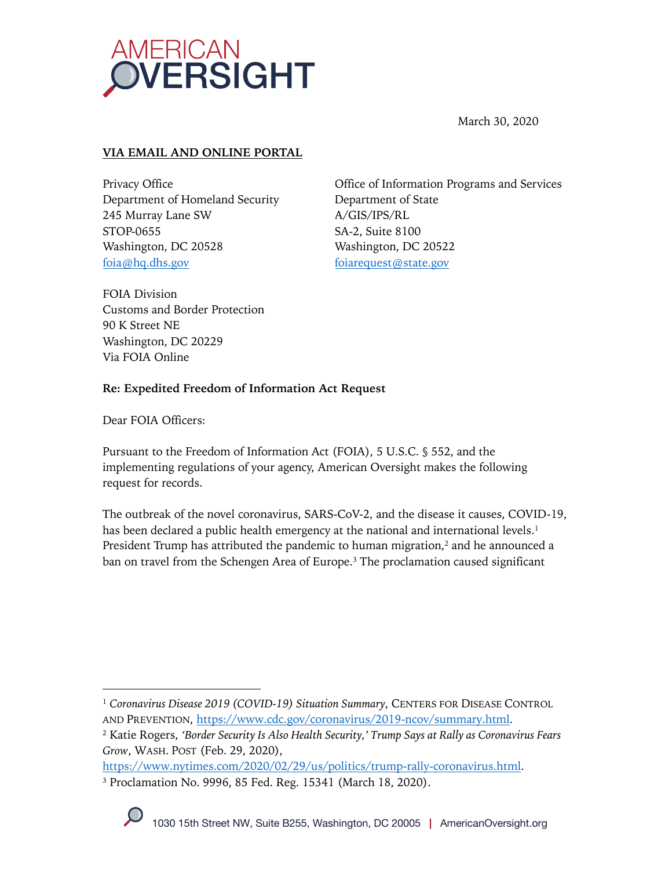

March 30, 2020

## **VIA EMAIL AND ONLINE PORTAL**

Privacy Office Department of Homeland Security 245 Murray Lane SW STOP-0655 Washington, DC 20528 foia@hq.dhs.gov

Office of Information Programs and Services Department of State A/GIS/IPS/RL SA-2, Suite 8100 Washington, DC 20522 foiarequest@state.gov

FOIA Division Customs and Border Protection 90 K Street NE Washington, DC 20229 Via FOIA Online

## **Re: Expedited Freedom of Information Act Request**

Dear FOIA Officers:

Pursuant to the Freedom of Information Act (FOIA), 5 U.S.C. § 552, and the implementing regulations of your agency, American Oversight makes the following request for records.

The outbreak of the novel coronavirus, SARS-CoV-2, and the disease it causes, COVID-19, has been declared a public health emergency at the national and international levels.<sup>1</sup> President Trump has attributed the pandemic to human migration, $2$  and he announced a ban on travel from the Schengen Area of Europe.<sup>3</sup> The proclamation caused significant

https://www.nytimes.com/2020/02/29/us/politics/trump-rally-coronavirus.html. <sup>3</sup> Proclamation No. 9996, 85 Fed. Reg. 15341 (March 18, 2020).

<sup>1</sup> *Coronavirus Disease 2019 (COVID-19) Situation Summary*, CENTERS FOR DISEASE CONTROL AND PREVENTION, https://www.cdc.gov/coronavirus/2019-ncov/summary.html.

<sup>2</sup> Katie Rogers, *'Border Security Is Also Health Security,' Trump Says at Rally as Coronavirus Fears Grow*, WASH. POST (Feb. 29, 2020),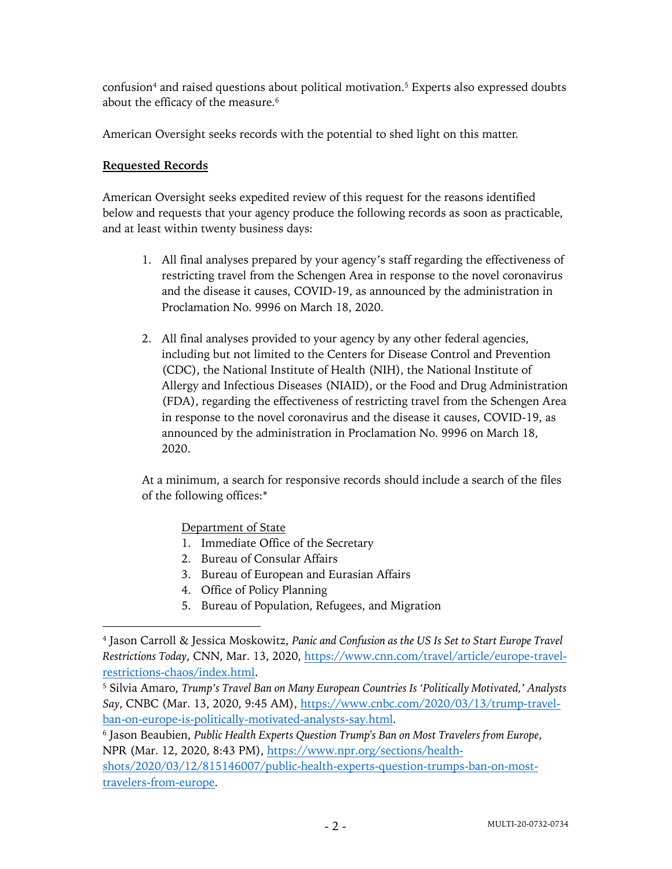confusion<sup>4</sup> and raised questions about political motivation.<sup>5</sup> Experts also expressed doubts about the efficacy of the measure.<sup>6</sup>

American Oversight seeks records with the potential to shed light on this matter.

## **Requested Records**

American Oversight seeks expedited review of this request for the reasons identified below and requests that your agency produce the following records as soon as practicable, and at least within twenty business days:

- 1. All final analyses prepared by your agency's staff regarding the effectiveness of restricting travel from the Schengen Area in response to the novel coronavirus and the disease it causes, COVID-19, as announced by the administration in Proclamation No. 9996 on March 18, 2020.
- 2. All final analyses provided to your agency by any other federal agencies, including but not limited to the Centers for Disease Control and Prevention (CDC), the National Institute of Health (NIH), the National Institute of Allergy and Infectious Diseases (NIAID), or the Food and Drug Administration (FDA), regarding the effectiveness of restricting travel from the Schengen Area in response to the novel coronavirus and the disease it causes, COVID-19, as announced by the administration in Proclamation No. 9996 on March 18, 2020.

At a minimum, a search for responsive records should include a search of the files of the following offices:\*

Department of State

- 1. Immediate Office of the Secretary
- 2. Bureau of Consular Affairs
- 3. Bureau of European and Eurasian Affairs
- 4. Office of Policy Planning
- 5. Bureau of Population, Refugees, and Migration

<sup>4</sup> Jason Carroll & Jessica Moskowitz, *Panic and Confusion as the US Is Set to Start Europe Travel Restrictions Today*, CNN, Mar. 13, 2020, https://www.cnn.com/travel/article/europe-travelrestrictions-chaos/index.html.

<sup>5</sup> Silvia Amaro, *Trump's Travel Ban on Many European Countries Is 'Politically Motivated,' Analysts Say*, CNBC (Mar. 13, 2020, 9:45 AM), https://www.cnbc.com/2020/03/13/trump-travelban-on-europe-is-politically-motivated-analysts-say.html.

<sup>6</sup> Jason Beaubien, *Public Health Experts Question Trump's Ban on Most Travelers from Europe*, NPR (Mar. 12, 2020, 8:43 PM), https://www.npr.org/sections/health-

shots/2020/03/12/815146007/public-health-experts-question-trumps-ban-on-mosttravelers-from-europe.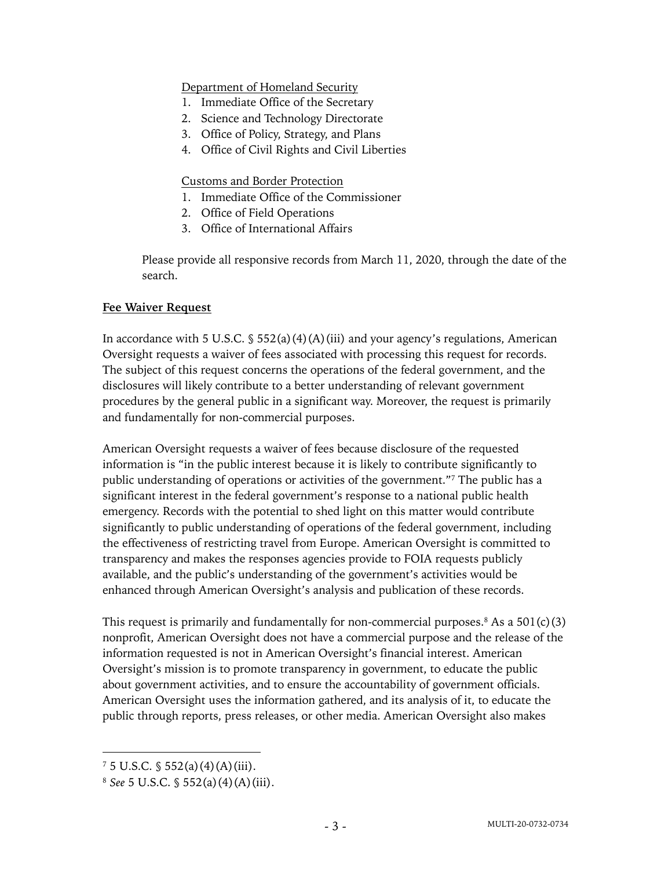Department of Homeland Security

- 1. Immediate Office of the Secretary
- 2. Science and Technology Directorate
- 3. Office of Policy, Strategy, and Plans
- 4. Office of Civil Rights and Civil Liberties

#### Customs and Border Protection

- 1. Immediate Office of the Commissioner
- 2. Office of Field Operations
- 3. Office of International Affairs

Please provide all responsive records from March 11, 2020, through the date of the search.

#### **Fee Waiver Request**

In accordance with 5 U.S.C.  $\S$  552(a)(4)(A)(iii) and your agency's regulations, American Oversight requests a waiver of fees associated with processing this request for records. The subject of this request concerns the operations of the federal government, and the disclosures will likely contribute to a better understanding of relevant government procedures by the general public in a significant way. Moreover, the request is primarily and fundamentally for non-commercial purposes.

American Oversight requests a waiver of fees because disclosure of the requested information is "in the public interest because it is likely to contribute significantly to public understanding of operations or activities of the government."7 The public has a significant interest in the federal government's response to a national public health emergency. Records with the potential to shed light on this matter would contribute significantly to public understanding of operations of the federal government, including the effectiveness of restricting travel from Europe. American Oversight is committed to transparency and makes the responses agencies provide to FOIA requests publicly available, and the public's understanding of the government's activities would be enhanced through American Oversight's analysis and publication of these records.

This request is primarily and fundamentally for non-commercial purposes.<sup>8</sup> As a  $501(c)(3)$ nonprofit, American Oversight does not have a commercial purpose and the release of the information requested is not in American Oversight's financial interest. American Oversight's mission is to promote transparency in government, to educate the public about government activities, and to ensure the accountability of government officials. American Oversight uses the information gathered, and its analysis of it, to educate the public through reports, press releases, or other media. American Oversight also makes

 $7\,5\,$  U.S.C.  $\frac{6}{3}\,552(a)(4)(A)(iii)$ .

<sup>8</sup> *See* 5 U.S.C. § 552(a)(4)(A)(iii).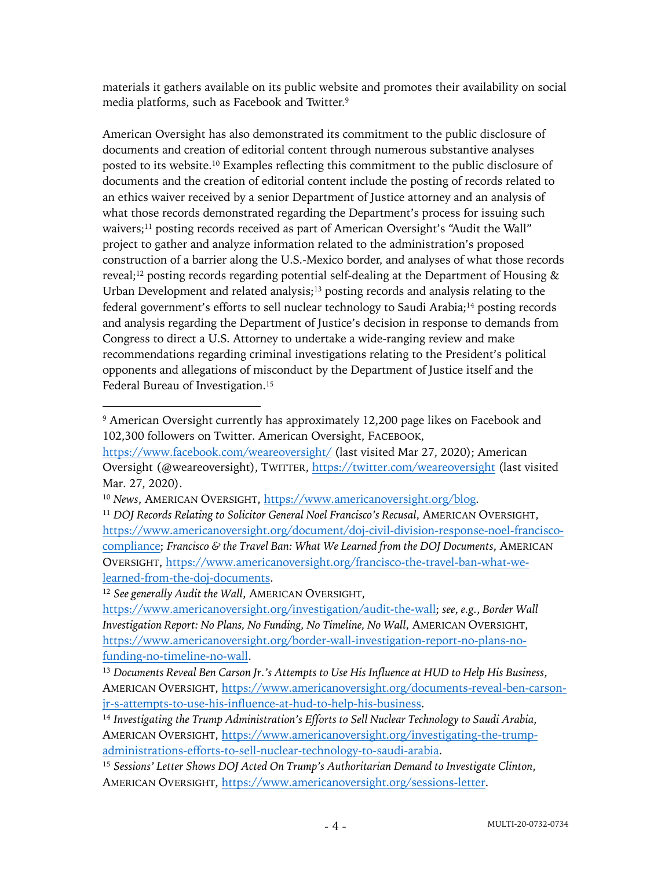materials it gathers available on its public website and promotes their availability on social media platforms, such as Facebook and Twitter.9

American Oversight has also demonstrated its commitment to the public disclosure of documents and creation of editorial content through numerous substantive analyses posted to its website. <sup>10</sup> Examples reflecting this commitment to the public disclosure of documents and the creation of editorial content include the posting of records related to an ethics waiver received by a senior Department of Justice attorney and an analysis of what those records demonstrated regarding the Department's process for issuing such waivers;<sup>11</sup> posting records received as part of American Oversight's "Audit the Wall" project to gather and analyze information related to the administration's proposed construction of a barrier along the U.S.-Mexico border, and analyses of what those records reveal;<sup>12</sup> posting records regarding potential self-dealing at the Department of Housing & Urban Development and related analysis; $13$  posting records and analysis relating to the federal government's efforts to sell nuclear technology to Saudi Arabia;<sup>14</sup> posting records and analysis regarding the Department of Justice's decision in response to demands from Congress to direct a U.S. Attorney to undertake a wide-ranging review and make recommendations regarding criminal investigations relating to the President's political opponents and allegations of misconduct by the Department of Justice itself and the Federal Bureau of Investigation.<sup>15</sup>

<sup>12</sup> *See generally Audit the Wall*, AMERICAN OVERSIGHT,

<sup>9</sup> American Oversight currently has approximately 12,200 page likes on Facebook and 102,300 followers on Twitter. American Oversight, FACEBOOK,

https://www.facebook.com/weareoversight/ (last visited Mar 27, 2020); American Oversight (@weareoversight), TWITTER, https://twitter.com/weareoversight (last visited Mar. 27, 2020).

<sup>&</sup>lt;sup>10</sup> News, AMERICAN OVERSIGHT, https://www.americanoversight.org/blog.

<sup>11</sup> *DOJ Records Relating to Solicitor General Noel Francisco's Recusal*, AMERICAN OVERSIGHT, https://www.americanoversight.org/document/doj-civil-division-response-noel-franciscocompliance; *Francisco & the Travel Ban: What We Learned from the DOJ Documents*, AMERICAN OVERSIGHT, https://www.americanoversight.org/francisco-the-travel-ban-what-welearned-from-the-doj-documents.

https://www.americanoversight.org/investigation/audit-the-wall; *see*, *e.g.*, *Border Wall Investigation Report: No Plans, No Funding, No Timeline, No Wall*, AMERICAN OVERSIGHT, https://www.americanoversight.org/border-wall-investigation-report-no-plans-nofunding-no-timeline-no-wall.

<sup>13</sup> *Documents Reveal Ben Carson Jr.'s Attempts to Use His Influence at HUD to Help His Business*, AMERICAN OVERSIGHT, https://www.americanoversight.org/documents-reveal-ben-carsonjr-s-attempts-to-use-his-influence-at-hud-to-help-his-business.

<sup>14</sup> *Investigating the Trump Administration's Efforts to Sell Nuclear Technology to Saudi Arabia*, AMERICAN OVERSIGHT, https://www.americanoversight.org/investigating-the-trumpadministrations-efforts-to-sell-nuclear-technology-to-saudi-arabia.

<sup>15</sup> *Sessions' Letter Shows DOJ Acted On Trump's Authoritarian Demand to Investigate Clinton*, AMERICAN OVERSIGHT, https://www.americanoversight.org/sessions-letter.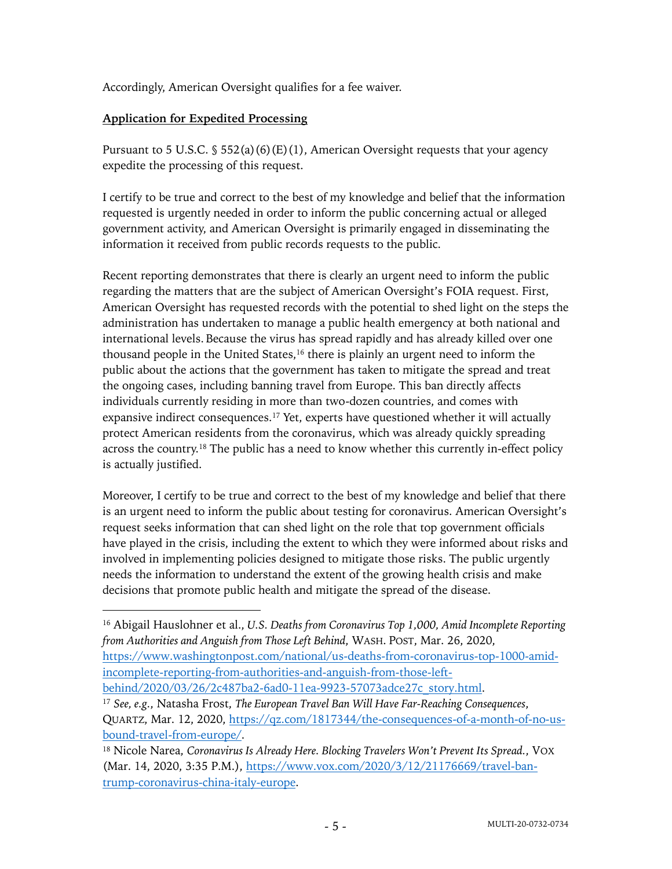Accordingly, American Oversight qualifies for a fee waiver.

# **Application for Expedited Processing**

Pursuant to 5 U.S.C. § 552(a)(6)(E)(1), American Oversight requests that your agency expedite the processing of this request.

I certify to be true and correct to the best of my knowledge and belief that the information requested is urgently needed in order to inform the public concerning actual or alleged government activity, and American Oversight is primarily engaged in disseminating the information it received from public records requests to the public.

Recent reporting demonstrates that there is clearly an urgent need to inform the public regarding the matters that are the subject of American Oversight's FOIA request. First, American Oversight has requested records with the potential to shed light on the steps the administration has undertaken to manage a public health emergency at both national and international levels. Because the virus has spread rapidly and has already killed over one thousand people in the United States, $16$  there is plainly an urgent need to inform the public about the actions that the government has taken to mitigate the spread and treat the ongoing cases, including banning travel from Europe. This ban directly affects individuals currently residing in more than two-dozen countries, and comes with expansive indirect consequences.<sup>17</sup> Yet, experts have questioned whether it will actually protect American residents from the coronavirus, which was already quickly spreading across the country.18 The public has a need to know whether this currently in-effect policy is actually justified.

Moreover, I certify to be true and correct to the best of my knowledge and belief that there is an urgent need to inform the public about testing for coronavirus. American Oversight's request seeks information that can shed light on the role that top government officials have played in the crisis, including the extent to which they were informed about risks and involved in implementing policies designed to mitigate those risks. The public urgently needs the information to understand the extent of the growing health crisis and make decisions that promote public health and mitigate the spread of the disease.

<sup>16</sup> Abigail Hauslohner et al., *U.S. Deaths from Coronavirus Top 1,000, Amid Incomplete Reporting from Authorities and Anguish from Those Left Behind*, WASH. POST, Mar. 26, 2020, https://www.washingtonpost.com/national/us-deaths-from-coronavirus-top-1000-amidincomplete-reporting-from-authorities-and-anguish-from-those-leftbehind/2020/03/26/2c487ba2-6ad0-11ea-9923-57073adce27c\_story.html.

<sup>17</sup> *See, e.g.*, Natasha Frost, *The European Travel Ban Will Have Far-Reaching Consequences*, QUARTZ, Mar. 12, 2020, https://qz.com/1817344/the-consequences-of-a-month-of-no-usbound-travel-from-europe/.

<sup>18</sup> Nicole Narea, *Coronavirus Is Already Here. Blocking Travelers Won't Prevent Its Spread.*, VOX (Mar. 14, 2020, 3:35 P.M.), https://www.vox.com/2020/3/12/21176669/travel-bantrump-coronavirus-china-italy-europe.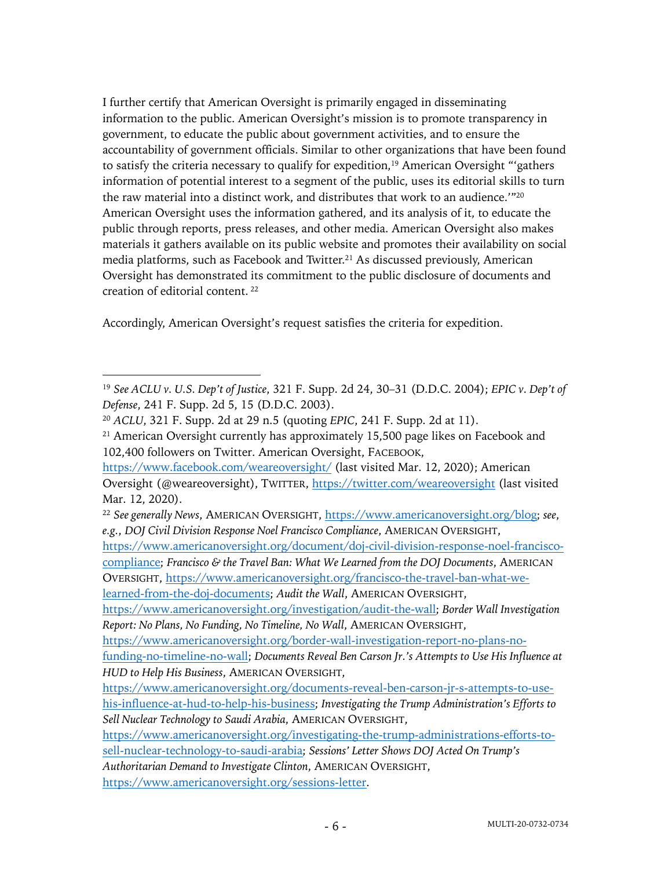I further certify that American Oversight is primarily engaged in disseminating information to the public. American Oversight's mission is to promote transparency in government, to educate the public about government activities, and to ensure the accountability of government officials. Similar to other organizations that have been found to satisfy the criteria necessary to qualify for expedition,<sup>19</sup> American Oversight "'gathers information of potential interest to a segment of the public, uses its editorial skills to turn the raw material into a distinct work, and distributes that work to an audience.<sup>'"20</sup> American Oversight uses the information gathered, and its analysis of it, to educate the public through reports, press releases, and other media. American Oversight also makes materials it gathers available on its public website and promotes their availability on social media platforms, such as Facebook and Twitter.<sup>21</sup> As discussed previously, American Oversight has demonstrated its commitment to the public disclosure of documents and creation of editorial content. <sup>22</sup>

Accordingly, American Oversight's request satisfies the criteria for expedition.

<sup>19</sup> *See ACLU v. U.S. Dep't of Justice*, 321 F. Supp. 2d 24, 30–31 (D.D.C. 2004); *EPIC v. Dep't of Defense*, 241 F. Supp. 2d 5, 15 (D.D.C. 2003).

<sup>20</sup> *ACLU*, 321 F. Supp. 2d at 29 n.5 (quoting *EPIC*, 241 F. Supp. 2d at 11).

<sup>&</sup>lt;sup>21</sup> American Oversight currently has approximately 15,500 page likes on Facebook and 102,400 followers on Twitter. American Oversight, FACEBOOK,

https://www.facebook.com/weareoversight/ (last visited Mar. 12, 2020); American Oversight (@weareoversight), TWITTER, https://twitter.com/weareoversight (last visited Mar. 12, 2020).

<sup>22</sup> *See generally News*, AMERICAN OVERSIGHT, https://www.americanoversight.org/blog; *see*, *e.g.*, *DOJ Civil Division Response Noel Francisco Compliance*, AMERICAN OVERSIGHT,

https://www.americanoversight.org/document/doj-civil-division-response-noel-franciscocompliance; *Francisco & the Travel Ban: What We Learned from the DOJ Documents*, AMERICAN OVERSIGHT, https://www.americanoversight.org/francisco-the-travel-ban-what-welearned-from-the-doj-documents; *Audit the Wall*, AMERICAN OVERSIGHT,

https://www.americanoversight.org/investigation/audit-the-wall; *Border Wall Investigation Report: No Plans, No Funding, No Timeline, No Wall*, AMERICAN OVERSIGHT,

https://www.americanoversight.org/border-wall-investigation-report-no-plans-nofunding-no-timeline-no-wall; *Documents Reveal Ben Carson Jr.'s Attempts to Use His Influence at HUD to Help His Business*, AMERICAN OVERSIGHT,

https://www.americanoversight.org/documents-reveal-ben-carson-jr-s-attempts-to-usehis-influence-at-hud-to-help-his-business; *Investigating the Trump Administration's Efforts to Sell Nuclear Technology to Saudi Arabia*, AMERICAN OVERSIGHT,

https://www.americanoversight.org/investigating-the-trump-administrations-efforts-to-

sell-nuclear-technology-to-saudi-arabia; *Sessions' Letter Shows DOJ Acted On Trump's Authoritarian Demand to Investigate Clinton*, AMERICAN OVERSIGHT,

https://www.americanoversight.org/sessions-letter.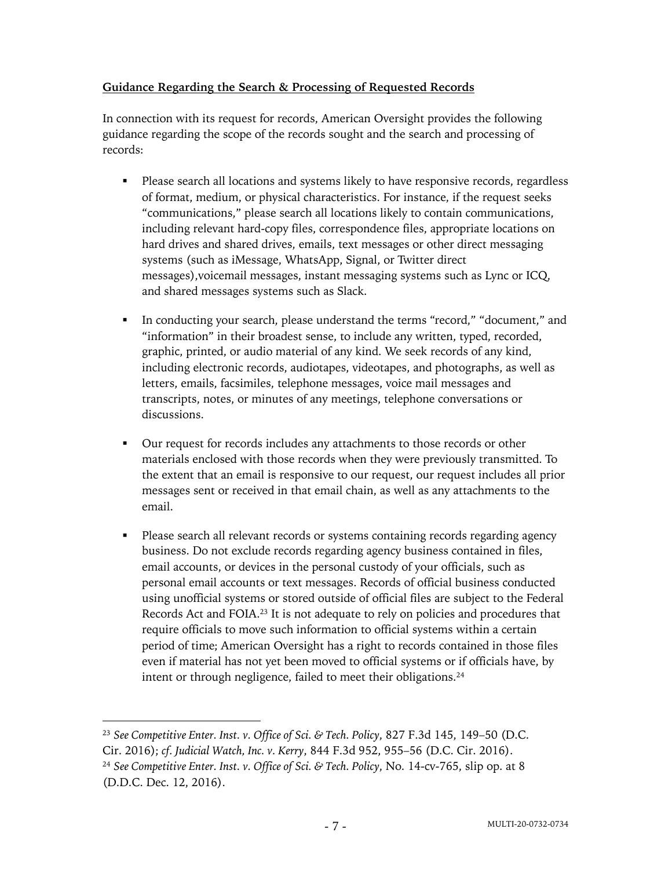## **Guidance Regarding the Search & Processing of Requested Records**

In connection with its request for records, American Oversight provides the following guidance regarding the scope of the records sought and the search and processing of records:

- Please search all locations and systems likely to have responsive records, regardless of format, medium, or physical characteristics. For instance, if the request seeks "communications," please search all locations likely to contain communications, including relevant hard-copy files, correspondence files, appropriate locations on hard drives and shared drives, emails, text messages or other direct messaging systems (such as iMessage, WhatsApp, Signal, or Twitter direct messages),voicemail messages, instant messaging systems such as Lync or ICQ, and shared messages systems such as Slack.
- § In conducting your search, please understand the terms "record," "document," and "information" in their broadest sense, to include any written, typed, recorded, graphic, printed, or audio material of any kind. We seek records of any kind, including electronic records, audiotapes, videotapes, and photographs, as well as letters, emails, facsimiles, telephone messages, voice mail messages and transcripts, notes, or minutes of any meetings, telephone conversations or discussions.
- Our request for records includes any attachments to those records or other materials enclosed with those records when they were previously transmitted. To the extent that an email is responsive to our request, our request includes all prior messages sent or received in that email chain, as well as any attachments to the email.
- § Please search all relevant records or systems containing records regarding agency business. Do not exclude records regarding agency business contained in files, email accounts, or devices in the personal custody of your officials, such as personal email accounts or text messages. Records of official business conducted using unofficial systems or stored outside of official files are subject to the Federal Records Act and FOIA.23 It is not adequate to rely on policies and procedures that require officials to move such information to official systems within a certain period of time; American Oversight has a right to records contained in those files even if material has not yet been moved to official systems or if officials have, by intent or through negligence, failed to meet their obligations.<sup>24</sup>

<sup>23</sup> *See Competitive Enter. Inst. v. Office of Sci. & Tech. Policy*, 827 F.3d 145, 149–50 (D.C. Cir. 2016); *cf. Judicial Watch, Inc. v. Kerry*, 844 F.3d 952, 955–56 (D.C. Cir. 2016). <sup>24</sup> *See Competitive Enter. Inst. v. Office of Sci. & Tech. Policy*, No. 14-cv-765, slip op. at 8 (D.D.C. Dec. 12, 2016).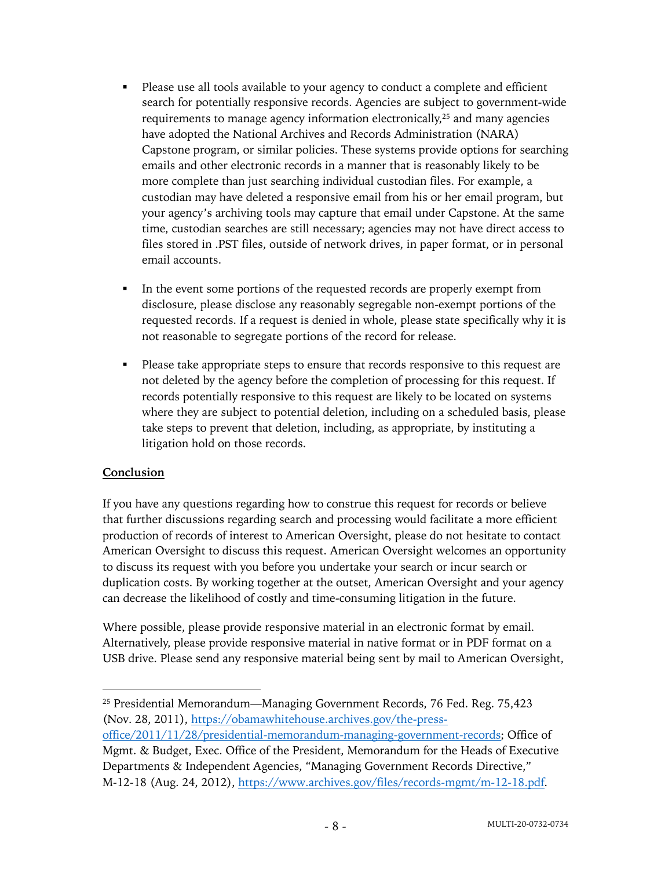- Please use all tools available to your agency to conduct a complete and efficient search for potentially responsive records. Agencies are subject to government-wide requirements to manage agency information electronically,25 and many agencies have adopted the National Archives and Records Administration (NARA) Capstone program, or similar policies. These systems provide options for searching emails and other electronic records in a manner that is reasonably likely to be more complete than just searching individual custodian files. For example, a custodian may have deleted a responsive email from his or her email program, but your agency's archiving tools may capture that email under Capstone. At the same time, custodian searches are still necessary; agencies may not have direct access to files stored in .PST files, outside of network drives, in paper format, or in personal email accounts.
- § In the event some portions of the requested records are properly exempt from disclosure, please disclose any reasonably segregable non-exempt portions of the requested records. If a request is denied in whole, please state specifically why it is not reasonable to segregate portions of the record for release.
- Please take appropriate steps to ensure that records responsive to this request are not deleted by the agency before the completion of processing for this request. If records potentially responsive to this request are likely to be located on systems where they are subject to potential deletion, including on a scheduled basis, please take steps to prevent that deletion, including, as appropriate, by instituting a litigation hold on those records.

### **Conclusion**

If you have any questions regarding how to construe this request for records or believe that further discussions regarding search and processing would facilitate a more efficient production of records of interest to American Oversight, please do not hesitate to contact American Oversight to discuss this request. American Oversight welcomes an opportunity to discuss its request with you before you undertake your search or incur search or duplication costs. By working together at the outset, American Oversight and your agency can decrease the likelihood of costly and time-consuming litigation in the future.

Where possible, please provide responsive material in an electronic format by email. Alternatively, please provide responsive material in native format or in PDF format on a USB drive. Please send any responsive material being sent by mail to American Oversight,

office/2011/11/28/presidential-memorandum-managing-government-records; Office of Mgmt. & Budget, Exec. Office of the President, Memorandum for the Heads of Executive Departments & Independent Agencies, "Managing Government Records Directive," M-12-18 (Aug. 24, 2012), https://www.archives.gov/files/records-mgmt/m-12-18.pdf.

<sup>25</sup> Presidential Memorandum—Managing Government Records, 76 Fed. Reg. 75,423 (Nov. 28, 2011), https://obamawhitehouse.archives.gov/the-press-